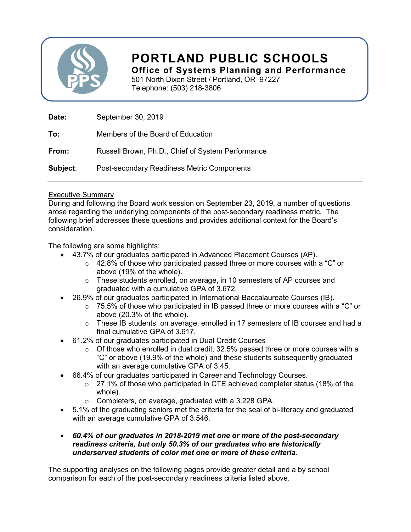

# PORTLAND PUBLIC SCHOOLS

Office of Systems Planning and Performance

501 North Dixon Street / Portland, OR 97227 Telephone: (503) 218-3806

| Date:    | September 30, 2019                                |
|----------|---------------------------------------------------|
| To:      | Members of the Board of Education                 |
| From:    | Russell Brown, Ph.D., Chief of System Performance |
| Subject: | Post-secondary Readiness Metric Components        |

#### Executive Summary

During and following the Board work session on September 23, 2019, a number of questions arose regarding the underlying components of the post-secondary readiness metric. The following brief addresses these questions and provides additional context for the Board's consideration.

The following are some highlights:

- 43.7% of our graduates participated in Advanced Placement Courses (AP).
	- o 42.8% of those who participated passed three or more courses with a "C" or above (19% of the whole).
	- o These students enrolled, on average, in 10 semesters of AP courses and graduated with a cumulative GPA of 3.672.
- 26.9% of our graduates participated in International Baccalaureate Courses (IB).
	- $\circ$  75.5% of those who participated in IB passed three or more courses with a "C" or above (20.3% of the whole).
	- $\circ$  These IB students, on average, enrolled in 17 semesters of IB courses and had a final cumulative GPA of 3.617.
- 61.2% of our graduates participated in Dual Credit Courses
	- $\circ$  Of those who enrolled in dual credit, 32.5% passed three or more courses with a "C" or above (19.9% of the whole) and these students subsequently graduated with an average cumulative GPA of 3.45.
- 66.4% of our graduates participated in Career and Technology Courses.
	- o 27.1% of those who participated in CTE achieved completer status (18% of the whole).
	- o Completers, on average, graduated with a 3.228 GPA.
- 5.1% of the graduating seniors met the criteria for the seal of bi-literacy and graduated with an average cumulative GPA of 3.546.
- 60.4% of our graduates in 2018-2019 met one or more of the post-secondary readiness criteria, but only 50.3% of our graduates who are historically underserved students of color met one or more of these criteria.

The supporting analyses on the following pages provide greater detail and a by school comparison for each of the post-secondary readiness criteria listed above.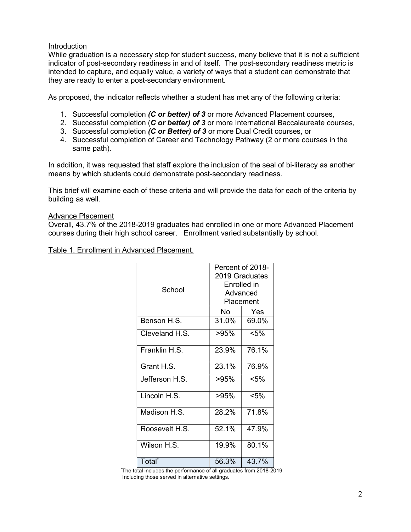#### **Introduction**

While graduation is a necessary step for student success, many believe that it is not a sufficient indicator of post-secondary readiness in and of itself. The post-secondary readiness metric is intended to capture, and equally value, a variety of ways that a student can demonstrate that they are ready to enter a post-secondary environment.

As proposed, the indicator reflects whether a student has met any of the following criteria:

- 1. Successful completion (C or better) of 3 or more Advanced Placement courses,
- 2. Successful completion (C or better) of 3 or more International Baccalaureate courses,
- 3. Successful completion (C or Better) of 3 or more Dual Credit courses, or
- 4. Successful completion of Career and Technology Pathway (2 or more courses in the same path).

In addition, it was requested that staff explore the inclusion of the seal of bi-literacy as another means by which students could demonstrate post-secondary readiness.

This brief will examine each of these criteria and will provide the data for each of the criteria by building as well.

#### Advance Placement

Overall, 43.7% of the 2018-2019 graduates had enrolled in one or more Advanced Placement courses during their high school career. Enrollment varied substantially by school.

Table 1. Enrollment in Advanced Placement.

| School             | Percent of 2018-<br>2019 Graduates<br>Enrolled in<br>Advanced<br>Placement |         |  |
|--------------------|----------------------------------------------------------------------------|---------|--|
|                    | No                                                                         | Yes     |  |
| Benson H.S.        | 31.0%                                                                      | 69.0%   |  |
| Cleveland H.S.     | >95%                                                                       | $<$ 5%  |  |
| Franklin H.S.      | 23.9%                                                                      | 76.1%   |  |
| Grant H.S.         | 23.1%                                                                      | 76.9%   |  |
| Jefferson H.S.     | >95%                                                                       | $< 5\%$ |  |
| Lincoln H.S.       | $>95\%$                                                                    | $< 5\%$ |  |
| Madison H.S.       | 28.2%                                                                      | 71.8%   |  |
| Roosevelt H.S.     | 52.1%                                                                      | 47.9%   |  |
| Wilson H.S.        | 19.9%                                                                      | 80.1%   |  |
| Total <sup>®</sup> | 56.3%                                                                      | 43.7%   |  |

\*The total includes the performance of all graduates from 2018-2019 Including those served in alternative settings.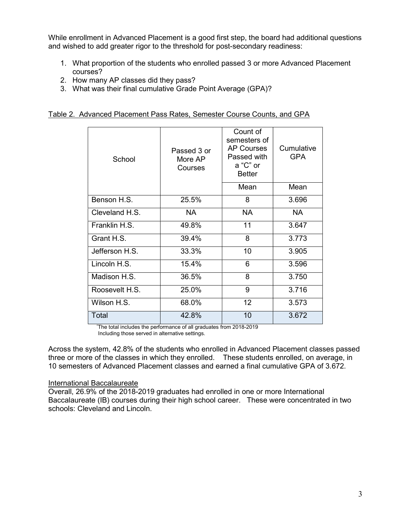While enrollment in Advanced Placement is a good first step, the board had additional questions and wished to add greater rigor to the threshold for post-secondary readiness:

- 1. What proportion of the students who enrolled passed 3 or more Advanced Placement courses?
- 2. How many AP classes did they pass?
- 3. What was their final cumulative Grade Point Average (GPA)?

| School         | Passed 3 or<br>More AP<br>Courses | Count of<br>semesters of<br><b>AP Courses</b><br>Passed with<br>a "C" or<br><b>Better</b> | Cumulative<br><b>GPA</b> |
|----------------|-----------------------------------|-------------------------------------------------------------------------------------------|--------------------------|
|                |                                   | Mean                                                                                      | Mean                     |
| Benson H.S.    | 25.5%                             | 8                                                                                         | 3.696                    |
| Cleveland H.S. | NA.                               | <b>NA</b>                                                                                 | NA.                      |
| Franklin H.S.  | 49.8%                             | 11                                                                                        | 3.647                    |
| Grant H.S.     | 39.4%                             | 8                                                                                         | 3.773                    |
| Jefferson H.S. | 33.3%                             | 10                                                                                        | 3.905                    |
| Lincoln H.S.   | 15.4%                             | 6                                                                                         | 3.596                    |
| Madison H.S.   | 36.5%                             | 8                                                                                         | 3.750                    |
| Roosevelt H.S. | 25.0%                             | 9                                                                                         | 3.716                    |
| Wilson H.S.    | 68.0%                             | 12 <sup>2</sup>                                                                           | 3.573                    |
| Total          | 42.8%                             | 10                                                                                        | 3.672                    |

Table 2. Advanced Placement Pass Rates, Semester Course Counts, and GPA

The total includes the performance of all graduates from 2018-2019 Including those served in alternative settings.

Across the system, 42.8% of the students who enrolled in Advanced Placement classes passed three or more of the classes in which they enrolled. These students enrolled, on average, in 10 semesters of Advanced Placement classes and earned a final cumulative GPA of 3.672.

#### International Baccalaureate

Overall, 26.9% of the 2018-2019 graduates had enrolled in one or more International Baccalaureate (IB) courses during their high school career. These were concentrated in two schools: Cleveland and Lincoln.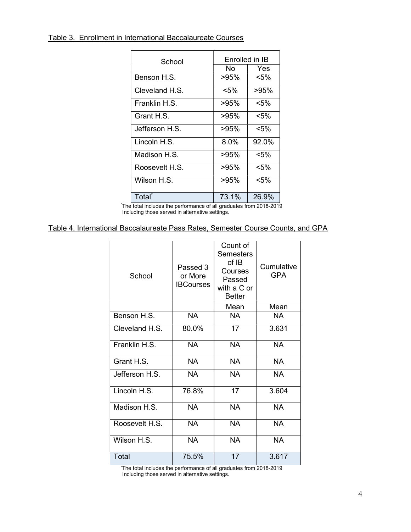Table 3. Enrollment in International Baccalaureate Courses

| School             | Enrolled in IB |          |  |  |
|--------------------|----------------|----------|--|--|
|                    | No             | Yes      |  |  |
| Benson H.S.        | >95%           | <5%      |  |  |
| Cleveland H S      | <5%            | >95%     |  |  |
| Franklin H.S.      | >95%           | <5%      |  |  |
| Grant H.S.         | >95%           | < 5%     |  |  |
| Jefferson H.S.     | >95%           | $< 5\%$  |  |  |
| Lincoln H.S.       | 8.0%           | $92.0\%$ |  |  |
| Madison H.S.       | >95%           | $< 5\%$  |  |  |
| Roosevelt H.S.     | >95%           | $< 5\%$  |  |  |
| Wilson H.S.        | >95%           | <5%      |  |  |
| Total <sup>*</sup> | 73.1%          | 26.9%    |  |  |

\*The total includes the performance of all graduates from 2018-2019 Including those served in alternative settings.

### Table 4. International Baccalaureate Pass Rates, Semester Course Counts, and GPA

| School         | Passed 3<br>or More<br><b>IBCourses</b> | Count of<br><b>Semesters</b><br>of IB<br>Courses<br>Passed<br>with a C or<br><b>Better</b> | Cumulative<br><b>GPA</b> |  |
|----------------|-----------------------------------------|--------------------------------------------------------------------------------------------|--------------------------|--|
|                |                                         | Mean                                                                                       | Mean                     |  |
| Benson H.S.    | <b>NA</b>                               | <b>NA</b>                                                                                  | NA.                      |  |
| Cleveland H.S. | 80.0%                                   | 17                                                                                         | 3.631                    |  |
| Franklin H.S.  | <b>NA</b>                               | <b>NA</b>                                                                                  | <b>NA</b>                |  |
| Grant H.S.     | <b>NA</b>                               | <b>NA</b>                                                                                  | <b>NA</b>                |  |
| Jefferson H.S. | <b>NA</b>                               | <b>NA</b>                                                                                  | <b>NA</b>                |  |
| Lincoln H.S.   | 76.8%                                   | 17                                                                                         | 3.604                    |  |
| Madison H.S.   | <b>NA</b>                               | <b>NA</b>                                                                                  | <b>NA</b>                |  |
| Roosevelt H.S. | <b>NA</b>                               | NA.                                                                                        | <b>NA</b>                |  |
| Wilson H.S.    | <b>NA</b>                               | <b>NA</b>                                                                                  | <b>NA</b>                |  |
| Total          | 75.5%                                   | 17                                                                                         | 3.617                    |  |

\*The total includes the performance of all graduates from 2018-2019 Including those served in alternative settings.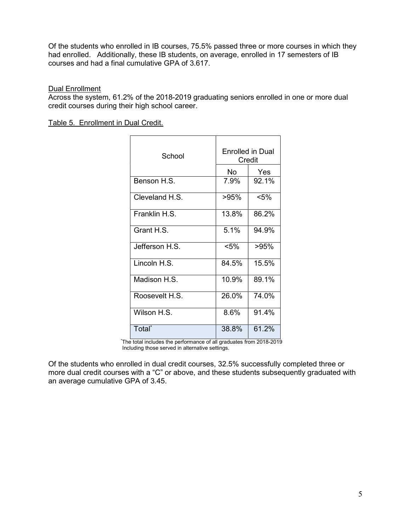Of the students who enrolled in IB courses, 75.5% passed three or more courses in which they had enrolled. Additionally, these IB students, on average, enrolled in 17 semesters of IB courses and had a final cumulative GPA of 3.617.

#### **Dual Enrollment**

Across the system, 61.2% of the 2018-2019 graduating seniors enrolled in one or more dual credit courses during their high school career.

Table 5. Enrollment in Dual Credit.

| School             | Enrolled in Dual<br>Credit |         |  |  |
|--------------------|----------------------------|---------|--|--|
|                    | No                         | Yes     |  |  |
| Benson H.S.        | 7.9%                       | 92.1%   |  |  |
| Cleveland H.S.     | >95%                       | $< 5\%$ |  |  |
| Franklin H.S.      | 13.8%                      | 86.2%   |  |  |
| Grant H.S.         | 5.1%                       | 94.9%   |  |  |
| Jefferson H.S.     | $< 5\%$                    | >95%    |  |  |
| Lincoln H.S.       | 84.5%                      | 15.5%   |  |  |
| Madison H.S.       | 10.9%                      | 89.1%   |  |  |
| Roosevelt H.S.     | 26.0%                      | 74.0%   |  |  |
| Wilson H.S.        | 8.6%                       | 91.4%   |  |  |
| Total <sup>*</sup> | 38.8%                      | 61.2%   |  |  |

\*The total includes the performance of all graduates from 2018-2019 Including those served in alternative settings.

Of the students who enrolled in dual credit courses, 32.5% successfully completed three or more dual credit courses with a "C" or above, and these students subsequently graduated with an average cumulative GPA of 3.45.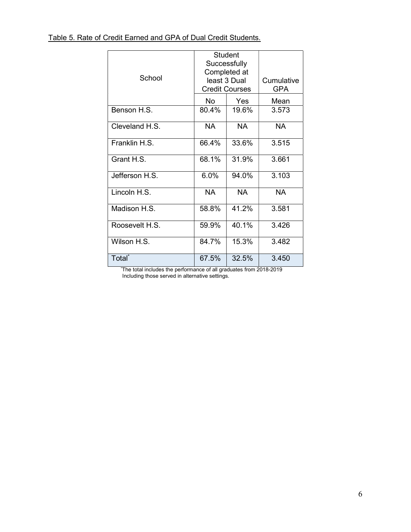| School                    | Student<br>Successfully<br>Completed at<br>least 3 Dual<br><b>Credit Courses</b> | Cumulative<br><b>GPA</b> |           |
|---------------------------|----------------------------------------------------------------------------------|--------------------------|-----------|
|                           | No                                                                               | Yes                      | Mean      |
| Benson H.S.               | 80.4%                                                                            | 19.6%                    | 3.573     |
| Cleveland H.S.            | <b>NA</b>                                                                        | <b>NA</b>                | <b>NA</b> |
| Franklin H.S.             | 66.4%                                                                            | 33.6%                    | 3.515     |
| Grant H.S.                | 68.1%                                                                            | 31.9%                    | 3.661     |
| Jefferson H.S.            | 6.0%                                                                             | 94.0%                    | 3.103     |
| Lincoln $\overline{H.S.}$ | NA.                                                                              | <b>NA</b>                | <b>NA</b> |
| Madison H.S.              | 58.8%                                                                            | 41.2%                    | 3.581     |
| Roosevelt H.S.            | 59.9%                                                                            | 40.1%                    | 3.426     |
| Wilson H.S.               | 84.7%                                                                            | 15.3%                    | 3.482     |
| Total <sup>*</sup>        | 67.5%                                                                            | 32.5%                    | 3.450     |

\*The total includes the performance of all graduates from 2018-2019 Including those served in alternative settings.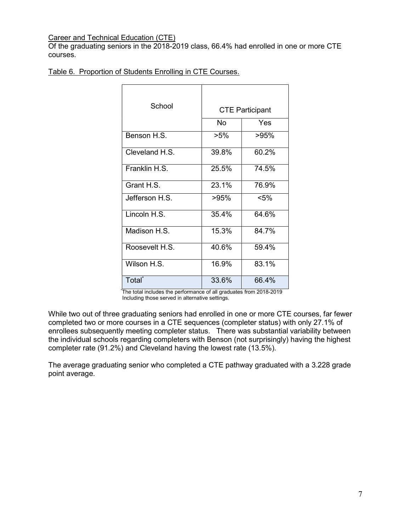#### Career and Technical Education (CTE)

Of the graduating seniors in the 2018-2019 class, 66.4% had enrolled in one or more CTE courses.

| Table 6. Proportion of Students Enrolling in CTE Courses. |
|-----------------------------------------------------------|
|-----------------------------------------------------------|

| School             |        |                        |
|--------------------|--------|------------------------|
|                    |        | <b>CTE Participant</b> |
|                    | N٥     | Yes                    |
| Benson H.S.        | $>5\%$ | $>95\%$                |
| Cleveland H.S.     | 39.8%  | 60.2%                  |
| Franklin H.S.      | 25.5%  | 74.5%                  |
| Grant H.S.         | 23.1%  | 76.9%                  |
| Jefferson H.S.     | >95%   | $< 5\%$                |
| Lincoln H.S.       | 35.4%  | 64.6%                  |
| Madison H.S.       | 15.3%  | 84.7%                  |
| Roosevelt H.S.     | 40.6%  | 59.4%                  |
| Wilson H.S.        | 16.9%  | 83.1%                  |
| Total <sup>*</sup> | 33.6%  | 66.4%                  |

\*The total includes the performance of all graduates from 2018-2019 Including those served in alternative settings.

While two out of three graduating seniors had enrolled in one or more CTE courses, far fewer completed two or more courses in a CTE sequences (completer status) with only 27.1% of enrollees subsequently meeting completer status. There was substantial variability between the individual schools regarding completers with Benson (not surprisingly) having the highest completer rate (91.2%) and Cleveland having the lowest rate (13.5%).

The average graduating senior who completed a CTE pathway graduated with a 3.228 grade point average.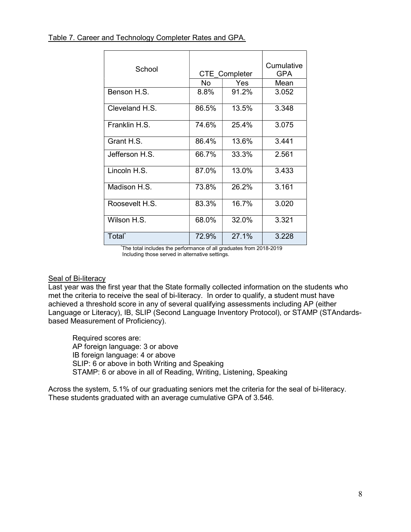| School             | <b>CTE Completer</b> | Cumulative<br><b>GPA</b> |       |
|--------------------|----------------------|--------------------------|-------|
|                    | No                   | Yes                      | Mean  |
| Benson H.S.        | 8.8%                 | 91.2%                    | 3.052 |
| Cleveland H.S.     | 86.5%                | 13.5%                    | 3.348 |
| Franklin H.S.      | 74.6%                | 25.4%                    | 3.075 |
| Grant H.S.         | 86.4%                | 13.6%                    | 3.441 |
| Jefferson H.S.     | 66.7%                | 33.3%                    | 2.561 |
| Lincoln H.S.       | 87.0%                | 13.0%                    | 3.433 |
| Madison H.S.       | 73.8%                | 26.2%                    | 3.161 |
| Roosevelt H.S.     | 83.3%                | 16.7%                    | 3.020 |
| Wilson H.S.        | 68.0%                | 32.0%                    | 3.321 |
| Total <sup>*</sup> | 72.9%                | 27.1%                    | 3.228 |

The total includes the performance of all graduates from 2018-2019 Including those served in alternative settings.

#### **Seal of Bi-literacy**

Last year was the first year that the State formally collected information on the students who met the criteria to receive the seal of bi-literacy. In order to qualify, a student must have achieved a threshold score in any of several qualifying assessments including AP (either Language or Literacy), IB, SLIP (Second Language Inventory Protocol), or STAMP (STAndardsbased Measurement of Proficiency).

Required scores are: AP foreign language: 3 or above IB foreign language: 4 or above SLIP: 6 or above in both Writing and Speaking STAMP: 6 or above in all of Reading, Writing, Listening, Speaking

Across the system, 5.1% of our graduating seniors met the criteria for the seal of bi-literacy. These students graduated with an average cumulative GPA of 3.546.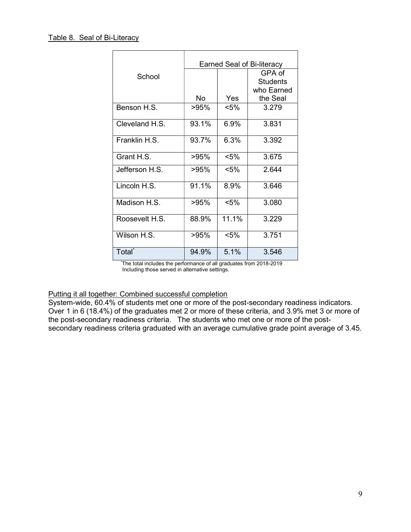|                    | <b>Earned Seal of Bi-literacy</b> |         |                           |  |  |
|--------------------|-----------------------------------|---------|---------------------------|--|--|
| School             |                                   |         | GPA of<br><b>Students</b> |  |  |
|                    |                                   |         | who Earned                |  |  |
|                    | No                                | Yes     | the Seal                  |  |  |
| Benson H.S.        | >95%                              | <5%     | 3.279                     |  |  |
| Cleveland H.S.     | 93.1%                             | 6.9%    | 3.831                     |  |  |
| Franklin H.S.      | 93.7%                             | 6.3%    | 3.392                     |  |  |
| Grant H.S.         | $>95\%$                           | $< 5\%$ | 3.675                     |  |  |
| Jefferson H.S.     | >95%                              | $< 5\%$ | 2.644                     |  |  |
| Lincoln H.S.       | 91.1%                             | 8.9%    | 3.646                     |  |  |
| Madison H.S.       | >95%                              | $< 5\%$ | 3.080                     |  |  |
| Roosevelt H.S.     | 88.9%                             | 11.1%   | 3.229                     |  |  |
| Wilson H.S.        | >95%                              | $< 5\%$ | 3.751                     |  |  |
| Total <sup>*</sup> | 94.9%                             | 5.1%    | 3.546                     |  |  |

\*The total includes the performance of all graduates from 2018-2019 Including those served in alternative settings.

## Putting it all together: Combined successful completion

System-wide, 60.4% of students met one or more of the post-secondary readiness indicators. Over 1 in 6 (18.4%) of the graduates met 2 or more of these criteria, and 3.9% met 3 or more of the post-secondary readiness criteria. The students who met one or more of the postsecondary readiness criteria graduated with an average cumulative grade point average of 3.45.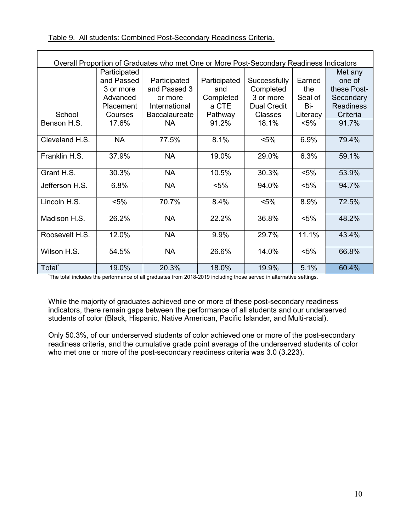| Overall Proportion of Graduates who met One or More Post-Secondary Readiness Indicators |              |                      |              |                    |          |                  |
|-----------------------------------------------------------------------------------------|--------------|----------------------|--------------|--------------------|----------|------------------|
|                                                                                         | Participated |                      |              |                    |          | Met any          |
|                                                                                         | and Passed   | Participated         | Participated | Successfully       | Earned   | one of           |
|                                                                                         | 3 or more    | and Passed 3         | and          | Completed          | the      | these Post-      |
|                                                                                         | Advanced     | or more              | Completed    | 3 or more          | Seal of  | Secondary        |
|                                                                                         | Placement    | International        | a CTE        | <b>Dual Credit</b> | Bi-      | <b>Readiness</b> |
| School                                                                                  | Courses      | <b>Baccalaureate</b> | Pathway      | <b>Classes</b>     | Literacy | Criteria         |
| Benson H.S.                                                                             | 17.6%        | <b>NA</b>            | 91.2%        | 18.1%              | $< 5\%$  | 91.7%            |
| Cleveland H.S.                                                                          | <b>NA</b>    | 77.5%                | 8.1%         | $< 5\%$            | 6.9%     | 79.4%            |
| Franklin H.S.                                                                           | 37.9%        | <b>NA</b>            | 19.0%        | 29.0%              | 6.3%     | 59.1%            |
| Grant H.S.                                                                              | 30.3%        | <b>NA</b>            | 10.5%        | 30.3%              | $< 5\%$  | 53.9%            |
| Jefferson H.S.                                                                          | 6.8%         | <b>NA</b>            | $< 5\%$      | 94.0%              | $< 5\%$  | 94.7%            |
| Lincoln H.S.                                                                            | $< 5\%$      | 70.7%                | 8.4%         | $< 5\%$            | 8.9%     | 72.5%            |
| Madison H.S.                                                                            | 26.2%        | <b>NA</b>            | 22.2%        | 36.8%              | $< 5\%$  | 48.2%            |
| Roosevelt H.S.                                                                          | 12.0%        | <b>NA</b>            | 9.9%         | 29.7%              | 11.1%    | 43.4%            |
| Wilson H.S.                                                                             | 54.5%        | <b>NA</b>            | 26.6%        | 14.0%              | $< 5\%$  | 66.8%            |
| Total <sup>*</sup>                                                                      | 19.0%        | 20.3%                | 18.0%        | 19.9%              | 5.1%     | 60.4%            |

\*The total includes the performance of all graduates from 2018-2019 including those served in alternative settings.

While the majority of graduates achieved one or more of these post-secondary readiness indicators, there remain gaps between the performance of all students and our underserved students of color (Black, Hispanic, Native American, Pacific Islander, and Multi-racial).

Only 50.3%, of our underserved students of color achieved one or more of the post-secondary readiness criteria, and the cumulative grade point average of the underserved students of color who met one or more of the post-secondary readiness criteria was 3.0 (3.223).